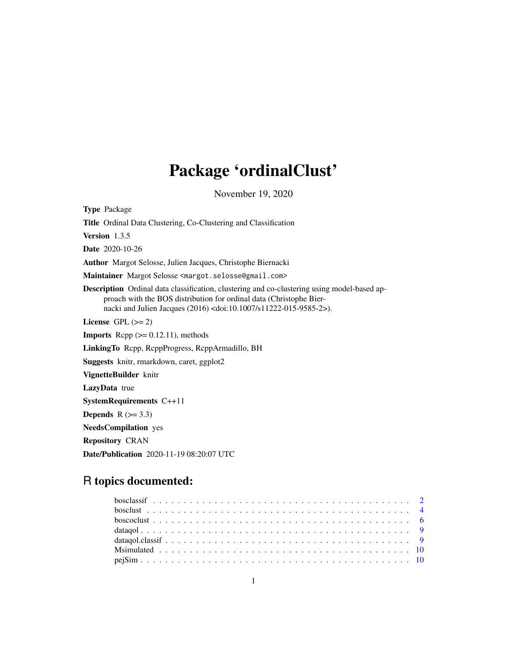# Package 'ordinalClust'

November 19, 2020

Type Package Title Ordinal Data Clustering, Co-Clustering and Classification Version 1.3.5 Date 2020-10-26 Author Margot Selosse, Julien Jacques, Christophe Biernacki Maintainer Margot Selosse <margot.selosse@gmail.com> Description Ordinal data classification, clustering and co-clustering using model-based approach with the BOS distribution for ordinal data (Christophe Biernacki and Julien Jacques (2016) <doi:10.1007/s11222-015-9585-2>). License GPL  $(>= 2)$ **Imports** Rcpp  $(>= 0.12.11)$ , methods LinkingTo Rcpp, RcppProgress, RcppArmadillo, BH Suggests knitr, rmarkdown, caret, ggplot2 VignetteBuilder knitr LazyData true SystemRequirements C++11 Depends  $R$  ( $>= 3.3$ ) NeedsCompilation yes Repository CRAN Date/Publication 2020-11-19 08:20:07 UTC

## R topics documented: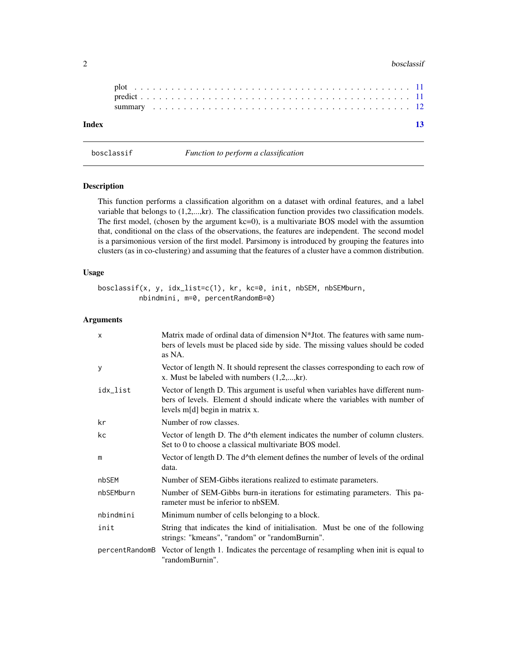#### <span id="page-1-0"></span>2 bosclassif

| Index |  |
|-------|--|
|       |  |
|       |  |

bosclassif *Function to perform a classification*

#### Description

This function performs a classification algorithm on a dataset with ordinal features, and a label variable that belongs to (1,2,...,kr). The classification function provides two classification models. The first model, (chosen by the argument kc=0), is a multivariate BOS model with the assumtion that, conditional on the class of the observations, the features are independent. The second model is a parsimonious version of the first model. Parsimony is introduced by grouping the features into clusters (as in co-clustering) and assuming that the features of a cluster have a common distribution.

#### Usage

bosclassif(x, y, idx\_list=c(1), kr, kc=0, init, nbSEM, nbSEMburn, nbindmini, m=0, percentRandomB=0)

#### Arguments

| $\times$       | Matrix made of ordinal data of dimension $N^*$ Itot. The features with same num-<br>bers of levels must be placed side by side. The missing values should be coded<br>as NA.                       |
|----------------|----------------------------------------------------------------------------------------------------------------------------------------------------------------------------------------------------|
| У              | Vector of length N. It should represent the classes corresponding to each row of<br>x. Must be labeled with numbers $(1,2,,kr)$ .                                                                  |
| idx_list       | Vector of length D. This argument is useful when variables have different num-<br>bers of levels. Element d should indicate where the variables with number of<br>levels $m[d]$ begin in matrix x. |
| kr             | Number of row classes.                                                                                                                                                                             |
| kc             | Vector of length D. The d <sup>*</sup> th element indicates the number of column clusters.<br>Set to 0 to choose a classical multivariate BOS model.                                               |
| m              | Vector of length D. The d^th element defines the number of levels of the ordinal<br>data.                                                                                                          |
| nbSEM          | Number of SEM-Gibbs iterations realized to estimate parameters.                                                                                                                                    |
| nbSEMburn      | Number of SEM-Gibbs burn-in iterations for estimating parameters. This pa-<br>rameter must be inferior to nbSEM.                                                                                   |
| nbindmini      | Minimum number of cells belonging to a block.                                                                                                                                                      |
| init           | String that indicates the kind of initialisation. Must be one of the following<br>strings: "kmeans", "random" or "randomBurnin".                                                                   |
| percentRandomB | Vector of length 1. Indicates the percentage of resampling when init is equal to<br>"randomBurnin".                                                                                                |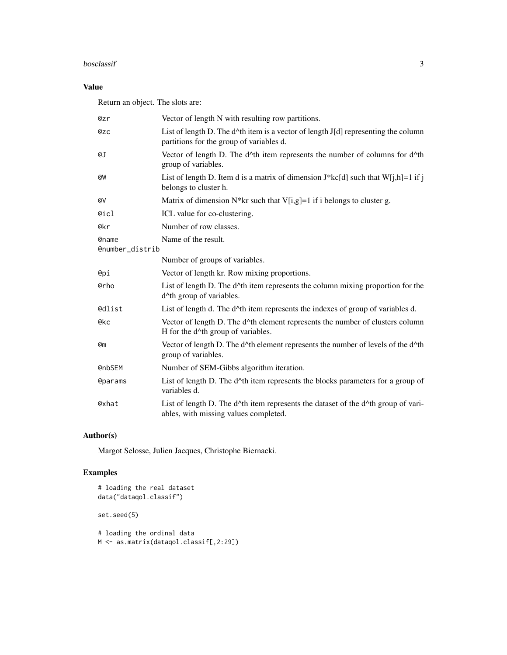#### bosclassif 3

#### Value

Return an object. The slots are:

| Qzr                             | Vector of length N with resulting row partitions.                                                                                          |
|---------------------------------|--------------------------------------------------------------------------------------------------------------------------------------------|
| @zc                             | List of length D. The $d^{\wedge}$ th item is a vector of length J[d] representing the column<br>partitions for the group of variables d.  |
| @J                              | Vector of length D. The d <sup>^th</sup> item represents the number of columns for d <sup>^th</sup><br>group of variables.                 |
| @W                              | List of length D. Item d is a matrix of dimension $J^*k c[d]$ such that $W[j,h]=1$ if j<br>belongs to cluster h.                           |
| @V                              | Matrix of dimension $N^*$ kr such that V[i,g]=1 if i belongs to cluster g.                                                                 |
| @icl                            | ICL value for co-clustering.                                                                                                               |
| @kr                             | Number of row classes.                                                                                                                     |
| <b>@name</b><br>@number_distrib | Name of the result.                                                                                                                        |
|                                 | Number of groups of variables.                                                                                                             |
| @pi                             | Vector of length kr. Row mixing proportions.                                                                                               |
| @rho                            | List of length D. The d <sup><math>\wedge</math></sup> th item represents the column mixing proportion for the<br>d^th group of variables. |
| <b>@dlist</b>                   | List of length d. The d^th item represents the indexes of group of variables d.                                                            |
| @kc                             | Vector of length D. The d^th element represents the number of clusters column<br>H for the d <sup>^</sup> th group of variables.           |
| <b>@m</b>                       | Vector of length D. The d^th element represents the number of levels of the d^th<br>group of variables.                                    |
| <b>@nbSEM</b>                   | Number of SEM-Gibbs algorithm iteration.                                                                                                   |
| <b>@params</b>                  | List of length D. The d^th item represents the blocks parameters for a group of<br>variables d.                                            |
| @xhat                           | List of length D. The d^th item represents the dataset of the d^th group of vari-<br>ables, with missing values completed.                 |

#### Author(s)

Margot Selosse, Julien Jacques, Christophe Biernacki.

#### Examples

```
# loading the real dataset
data("dataqol.classif")
set.seed(5)
# loading the ordinal data
```
M <- as.matrix(dataqol.classif[,2:29])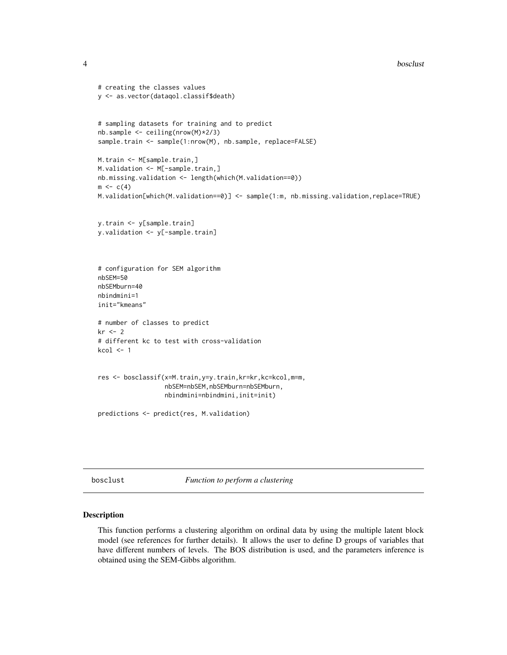```
4 bosclust 24 bosclust 2012 bosclust 2012 bosclust 2012 bosclust 2012 bosclust 2012 bosclust 2012 bosclust 201
```

```
# creating the classes values
y <- as.vector(dataqol.classif$death)
# sampling datasets for training and to predict
nb.sample <- ceiling(nrow(M)*2/3)
sample.train <- sample(1:nrow(M), nb.sample, replace=FALSE)
M.train <- M[sample.train,]
M.validation <- M[-sample.train,]
nb.missing.validation <- length(which(M.validation==0))
m \leq -c(4)M.validation[which(M.validation==0)] <- sample(1:m, nb.missing.validation,replace=TRUE)
y.train <- y[sample.train]
y.validation <- y[-sample.train]
# configuration for SEM algorithm
nbSEM=50
nbSEMburn=40
nbindmini=1
init="kmeans"
# number of classes to predict
kr <- 2
# different kc to test with cross-validation
kcol < -1res <- bosclassif(x=M.train,y=y.train,kr=kr,kc=kcol,m=m,
                  nbSEM=nbSEM,nbSEMburn=nbSEMburn,
                  nbindmini=nbindmini,init=init)
predictions <- predict(res, M.validation)
```
bosclust *Function to perform a clustering*

#### Description

This function performs a clustering algorithm on ordinal data by using the multiple latent block model (see references for further details). It allows the user to define D groups of variables that have different numbers of levels. The BOS distribution is used, and the parameters inference is obtained using the SEM-Gibbs algorithm.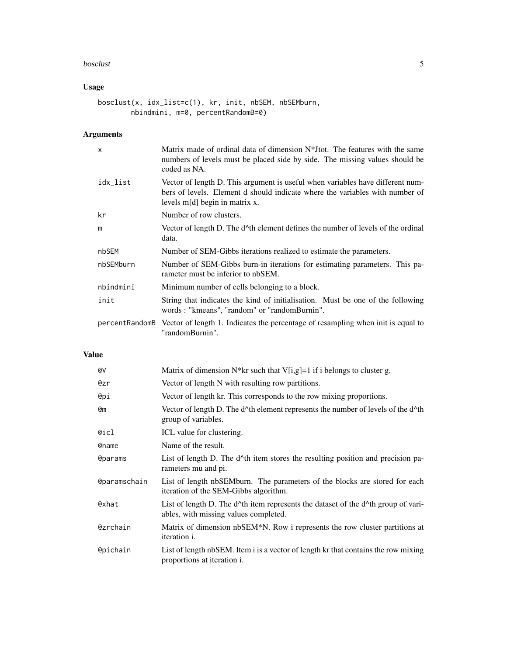#### bosclust 5 and 5 and 5 and 5 and 5 and 5 and 5 and 5 and 5 and 5 and 5 and 5 and 5 and 5 and 5 and 5 and 5 and 5 and 5 and 5 and 5 and 5 and 5 and 5 and 5 and 5 and 5 and 5 and 5 and 5 and 5 and 5 and 5 and 5 and 5 and 5 a

#### Usage

```
bosclust(x, idx_list=c(1), kr, init, nbSEM, nbSEMburn,
       nbindmini, m=0, percentRandomB=0)
```
#### Arguments

| $\mathsf{x}$   | Matrix made of ordinal data of dimension $N^*$ Itot. The features with the same<br>numbers of levels must be placed side by side. The missing values should be<br>coded as NA.                   |
|----------------|--------------------------------------------------------------------------------------------------------------------------------------------------------------------------------------------------|
| idx_list       | Vector of length D. This argument is useful when variables have different num-<br>bers of levels. Element d should indicate where the variables with number of<br>levels m[d] begin in matrix x. |
| kr             | Number of row clusters.                                                                                                                                                                          |
| m              | Vector of length D. The d^th element defines the number of levels of the ordinal<br>data.                                                                                                        |
| nbSEM          | Number of SEM-Gibbs iterations realized to estimate the parameters.                                                                                                                              |
| nbSEMburn      | Number of SEM-Gibbs burn-in iterations for estimating parameters. This pa-<br>rameter must be inferior to nbSEM.                                                                                 |
| nbindmini      | Minimum number of cells belonging to a block.                                                                                                                                                    |
| init           | String that indicates the kind of initialisation. Must be one of the following<br>words: "kmeans", "random" or "randomBurnin".                                                                   |
| percentRandomB | Vector of length 1. Indicates the percentage of resampling when init is equal to<br>"randomBurnin".                                                                                              |

#### Value

| Matrix of dimension $N^*$ kr such that V[i,g]=1 if i belongs to cluster g.                                                 |
|----------------------------------------------------------------------------------------------------------------------------|
| Vector of length N with resulting row partitions.                                                                          |
| Vector of length kr. This corresponds to the row mixing proportions.                                                       |
| Vector of length D. The d^th element represents the number of levels of the d^th<br>group of variables.                    |
| ICL value for clustering.                                                                                                  |
| Name of the result.                                                                                                        |
| List of length D. The $d^{\wedge}$ th item stores the resulting position and precision pa-<br>rameters mu and pi.          |
| List of length nbSEMburn. The parameters of the blocks are stored for each<br>iteration of the SEM-Gibbs algorithm.        |
| List of length D. The d^th item represents the dataset of the d^th group of vari-<br>ables, with missing values completed. |
| Matrix of dimension nbSEM <sup>*</sup> N. Row i represents the row cluster partitions at<br>iteration <i>i</i> .           |
| List of length nbSEM. Item i is a vector of length kr that contains the row mixing<br>proportions at iteration i.          |
|                                                                                                                            |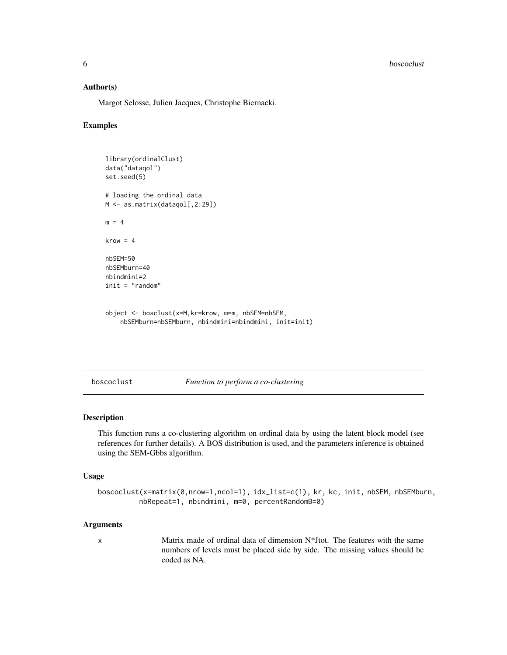<span id="page-5-0"></span>**6** boscoclust the contract of the contract of the contract of the contract of the contract of the contract of the contract of the contract of the contract of the contract of the contract of the contract of the contract of

#### Author(s)

Margot Selosse, Julien Jacques, Christophe Biernacki.

#### Examples

```
library(ordinalClust)
data("dataqol")
set.seed(5)
# loading the ordinal data
M <- as.matrix(dataqol[,2:29])
m = 4krow = 4nbSEM=50
nbSEMburn=40
nbindmini=2
init = "random"
```

```
object <- bosclust(x=M,kr=krow, m=m, nbSEM=nbSEM,
    nbSEMburn=nbSEMburn, nbindmini=nbindmini, init=init)
```
boscoclust *Function to perform a co-clustering*

#### Description

This function runs a co-clustering algorithm on ordinal data by using the latent block model (see references for further details). A BOS distribution is used, and the parameters inference is obtained using the SEM-Gbbs algorithm.

#### Usage

```
boscoclust(x=matrix(0,nrow=1,ncol=1), idx_list=c(1), kr, kc, init, nbSEM, nbSEMburn,
          nbRepeat=1, nbindmini, m=0, percentRandomB=0)
```
#### Arguments

x Matrix made of ordinal data of dimension N\*Jtot. The features with the same numbers of levels must be placed side by side. The missing values should be coded as NA.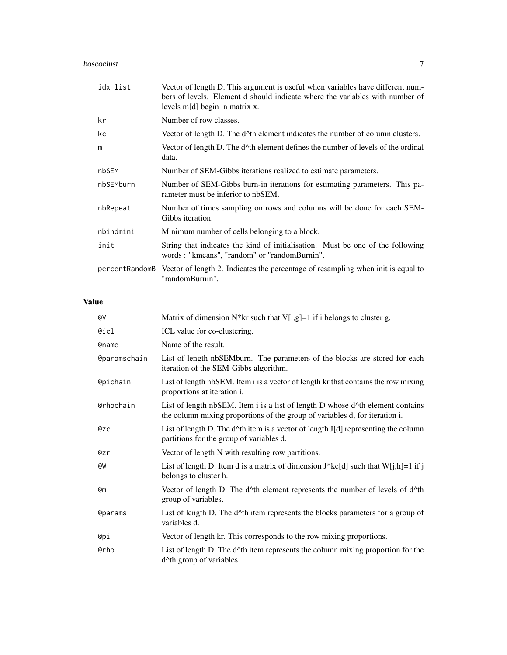### boscoclust 7

| idx_list       | Vector of length D. This argument is useful when variables have different num-<br>bers of levels. Element d should indicate where the variables with number of<br>levels m[d] begin in matrix x. |
|----------------|--------------------------------------------------------------------------------------------------------------------------------------------------------------------------------------------------|
| kr             | Number of row classes.                                                                                                                                                                           |
| kc             | Vector of length D. The d^th element indicates the number of column clusters.                                                                                                                    |
| m              | Vector of length D. The d^th element defines the number of levels of the ordinal<br>data.                                                                                                        |
| nbSEM          | Number of SEM-Gibbs iterations realized to estimate parameters.                                                                                                                                  |
| nbSEMburn      | Number of SEM-Gibbs burn-in iterations for estimating parameters. This pa-<br>rameter must be inferior to nbSEM.                                                                                 |
| nbRepeat       | Number of times sampling on rows and columns will be done for each SEM-<br>Gibbs iteration.                                                                                                      |
| nbindmini      | Minimum number of cells belonging to a block.                                                                                                                                                    |
| init           | String that indicates the kind of initialisation. Must be one of the following<br>words: "kmeans", "random" or "randomBurnin".                                                                   |
| percentRandomB | Vector of length 2. Indicates the percentage of resampling when init is equal to<br>"randomBurnin".                                                                                              |

#### Value

| @V                  | Matrix of dimension $N^*$ kr such that V[i,g]=1 if i belongs to cluster g.                                                                                    |
|---------------------|---------------------------------------------------------------------------------------------------------------------------------------------------------------|
| @icl                | ICL value for co-clustering.                                                                                                                                  |
| <b>@name</b>        | Name of the result.                                                                                                                                           |
| <b>@paramschain</b> | List of length nbSEMburn. The parameters of the blocks are stored for each<br>iteration of the SEM-Gibbs algorithm.                                           |
| <b>@pichain</b>     | List of length nbSEM. Item i is a vector of length kr that contains the row mixing<br>proportions at iteration i.                                             |
| <b>@rhochain</b>    | List of length nbSEM. Item i is a list of length D whose d^th element contains<br>the column mixing proportions of the group of variables d, for iteration i. |
| @zc                 | List of length D. The d^th item is a vector of length J[d] representing the column<br>partitions for the group of variables d.                                |
| @zr                 | Vector of length N with resulting row partitions.                                                                                                             |
| @W                  | List of length D. Item d is a matrix of dimension $J^*kc[d]$ such that $W[j,h]=1$ if j<br>belongs to cluster h.                                               |
| <b>@m</b>           | Vector of length D. The d^th element represents the number of levels of d^th<br>group of variables.                                                           |
| <b>@params</b>      | List of length D. The d^th item represents the blocks parameters for a group of<br>variables d.                                                               |
| @рі                 | Vector of length kr. This corresponds to the row mixing proportions.                                                                                          |
| <b>@rho</b>         | List of length D. The d^th item represents the column mixing proportion for the<br>d^th group of variables.                                                   |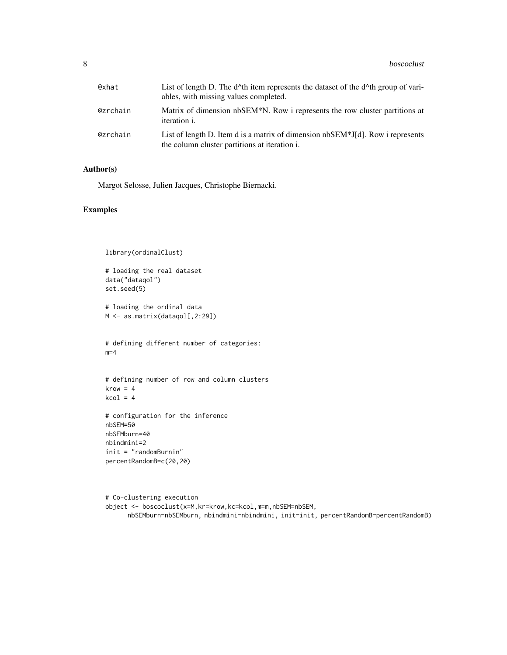| @xhat    | List of length D. The $d^{\wedge}$ th item represents the dataset of the $d^{\wedge}$ th group of vari-<br>ables, with missing values completed. |
|----------|--------------------------------------------------------------------------------------------------------------------------------------------------|
| @zrchain | Matrix of dimension nbSEM*N. Row i represents the row cluster partitions at<br><i>iteration i.</i>                                               |
| @zrchain | List of length D. Item d is a matrix of dimension $nbSEM*J[d]$ . Row i represents<br>the column cluster partitions at iteration i.               |

#### Author(s)

Margot Selosse, Julien Jacques, Christophe Biernacki.

#### Examples

```
library(ordinalClust)
# loading the real dataset
data("dataqol")
set.seed(5)
# loading the ordinal data
M <- as.matrix(dataqol[,2:29])
# defining different number of categories:
m=4# defining number of row and column clusters
krow = 4kcol = 4# configuration for the inference
nbSEM=50
nbSEMburn=40
nbindmini=2
```
init = "randomBurnin" percentRandomB=c(20,20)

```
# Co-clustering execution
object <- boscoclust(x=M,kr=krow,kc=kcol,m=m,nbSEM=nbSEM,
     nbSEMburn=nbSEMburn, nbindmini=nbindmini, init=init, percentRandomB=percentRandomB)
```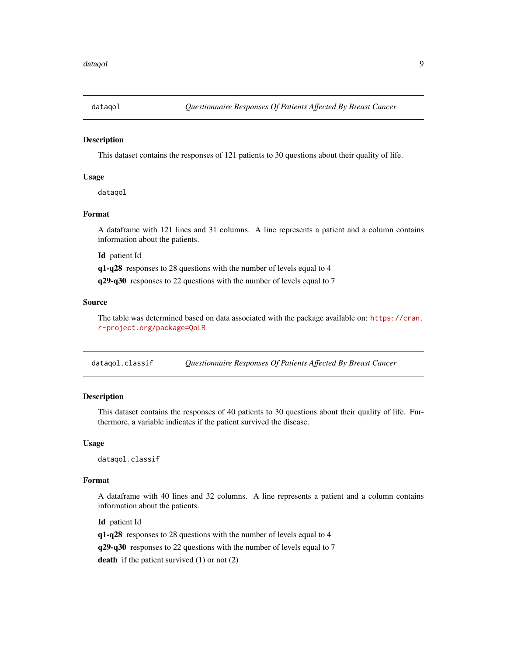<span id="page-8-0"></span>

#### Description

This dataset contains the responses of 121 patients to 30 questions about their quality of life.

#### Usage

dataqol

#### Format

A dataframe with 121 lines and 31 columns. A line represents a patient and a column contains information about the patients.

Id patient Id

q1-q28 responses to 28 questions with the number of levels equal to 4

q29-q30 responses to 22 questions with the number of levels equal to 7

#### Source

The table was determined based on data associated with the package available on: [https://cran.](https://cran.r-project.org/package=QoLR) [r-project.org/package=QoLR](https://cran.r-project.org/package=QoLR)

dataqol.classif *Questionnaire Responses Of Patients Affected By Breast Cancer*

#### Description

This dataset contains the responses of 40 patients to 30 questions about their quality of life. Furthermore, a variable indicates if the patient survived the disease.

#### Usage

dataqol.classif

#### Format

A dataframe with 40 lines and 32 columns. A line represents a patient and a column contains information about the patients.

Id patient Id

q1-q28 responses to 28 questions with the number of levels equal to 4

q29-q30 responses to 22 questions with the number of levels equal to 7

death if the patient survived  $(1)$  or not  $(2)$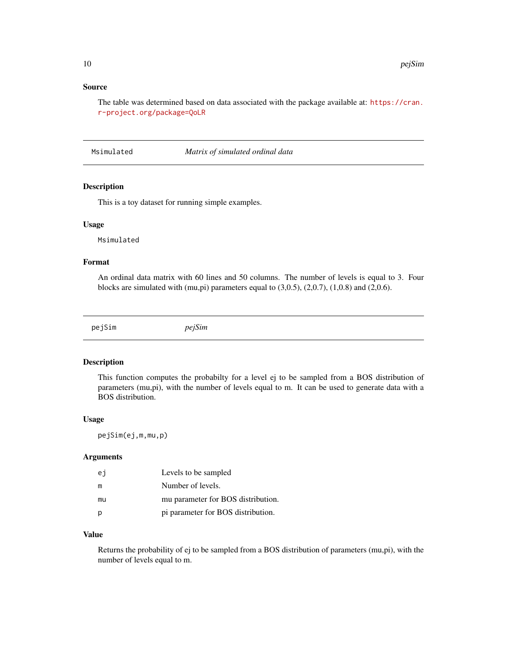#### <span id="page-9-0"></span>Source

The table was determined based on data associated with the package available at: [https://cran.](https://cran.r-project.org/package=QoLR) [r-project.org/package=QoLR](https://cran.r-project.org/package=QoLR)

Msimulated *Matrix of simulated ordinal data*

#### Description

This is a toy dataset for running simple examples.

#### Usage

Msimulated

#### Format

An ordinal data matrix with 60 lines and 50 columns. The number of levels is equal to 3. Four blocks are simulated with  $(mu,pi)$  parameters equal to  $(3,0.5)$ ,  $(2,0.7)$ ,  $(1,0.8)$  and  $(2,0.6)$ .

pejSim *pejSim*

#### Description

This function computes the probabilty for a level ej to be sampled from a BOS distribution of parameters (mu,pi), with the number of levels equal to m. It can be used to generate data with a BOS distribution.

#### Usage

pejSim(ej,m,mu,p)

#### Arguments

| еj | Levels to be sampled               |
|----|------------------------------------|
| m  | Number of levels.                  |
| mu | mu parameter for BOS distribution. |
|    | pi parameter for BOS distribution. |

#### Value

Returns the probability of ej to be sampled from a BOS distribution of parameters (mu,pi), with the number of levels equal to m.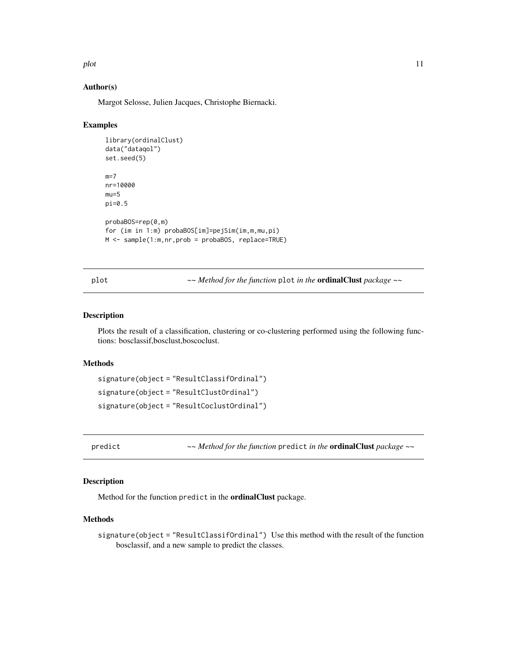<span id="page-10-0"></span>plot the state of the state of the state of the state of the state of the state of the state of the state of the state of the state of the state of the state of the state of the state of the state of the state of the state

#### Author(s)

Margot Selosse, Julien Jacques, Christophe Biernacki.

#### Examples

```
library(ordinalClust)
data("dataqol")
set.seed(5)
m=7nr=10000
mu=5pi=0.5
probaBOS=rep(0,m)
for (im in 1:m) probaBOS[im]=pejSim(im,m,mu,pi)
M <- sample(1:m,nr,prob = probaBOS, replace=TRUE)
```
plot *~~ Method for the function* plot *in the* ordinalClust *package ~~*

#### Description

Plots the result of a classification, clustering or co-clustering performed using the following functions: bosclassif,bosclust,boscoclust.

#### Methods

```
signature(object = "ResultClassifOrdinal")
signature(object = "ResultClustOrdinal")
signature(object = "ResultCoclustOrdinal")
```
predict *~~ Method for the function* predict *in the* ordinalClust *package ~~*

#### Description

Method for the function predict in the ordinalClust package.

#### Methods

signature(object = "ResultClassifOrdinal") Use this method with the result of the function bosclassif, and a new sample to predict the classes.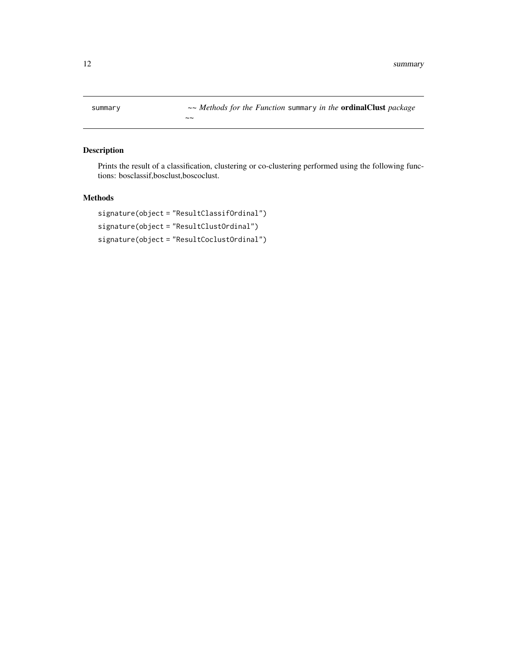<span id="page-11-0"></span>summary *~~ Methods for the Function* summary *in the* ordinalClust *package*

#### Description

Prints the result of a classification, clustering or co-clustering performed using the following functions: bosclassif,bosclust,boscoclust.

#### Methods

```
signature(object = "ResultClassifOrdinal")
signature(object = "ResultClustOrdinal")
signature(object = "ResultCoclustOrdinal")
```
*~~*